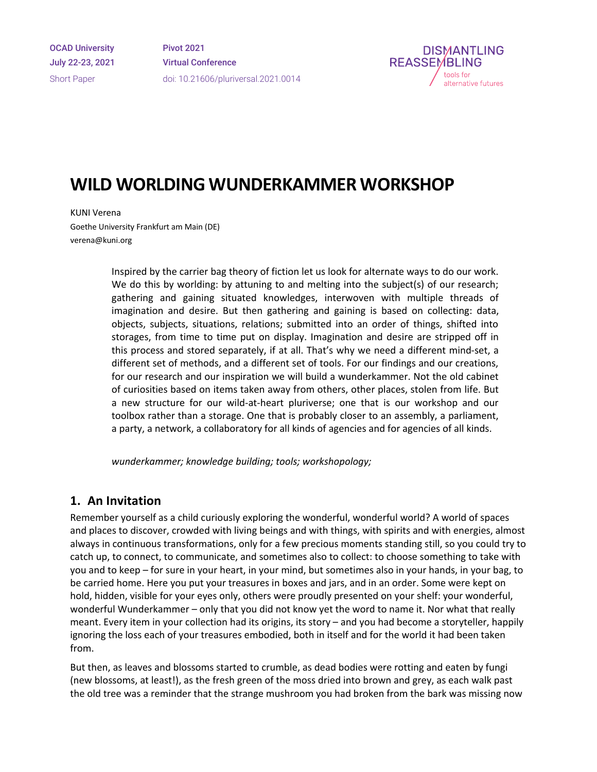OCAD University July 22-23, 2021 Short Paper

Pivot 2021 Virtual Conference doi: 10.21606/pluriversal.2021.0014



# **WILD WORLDING WUNDERKAMMER WORKSHOP**

KUNI Verena Goethe University Frankfurt am Main (DE) verena@kuni.org

> Inspired by the carrier bag theory of fiction let us look for alternate ways to do our work. We do this by worlding: by attuning to and melting into the subject(s) of our research; gathering and gaining situated knowledges, interwoven with multiple threads of imagination and desire. But then gathering and gaining is based on collecting: data, objects, subjects, situations, relations; submitted into an order of things, shifted into storages, from time to time put on display. Imagination and desire are stripped off in this process and stored separately, if at all. That's why we need a different mind-set, a different set of methods, and a different set of tools. For our findings and our creations, for our research and our inspiration we will build a wunderkammer. Not the old cabinet of curiosities based on items taken away from others, other places, stolen from life. But a new structure for our wild-at-heart pluriverse; one that is our workshop and our toolbox rather than a storage. One that is probably closer to an assembly, a parliament, a party, a network, a collaboratory for all kinds of agencies and for agencies of all kinds.

*wunderkammer; knowledge building; tools; workshopology;*

## **1. An Invitation**

Remember yourself as a child curiously exploring the wonderful, wonderful world? A world of spaces and places to discover, crowded with living beings and with things, with spirits and with energies, almost always in continuous transformations, only for a few precious moments standing still, so you could try to catch up, to connect, to communicate, and sometimes also to collect: to choose something to take with you and to keep – for sure in your heart, in your mind, but sometimes also in your hands, in your bag, to be carried home. Here you put your treasures in boxes and jars, and in an order. Some were kept on hold, hidden, visible for your eyes only, others were proudly presented on your shelf: your wonderful, wonderful Wunderkammer – only that you did not know yet the word to name it. Nor what that really meant. Every item in your collection had its origins, its story – and you had become a storyteller, happily ignoring the loss each of your treasures embodied, both in itself and for the world it had been taken from.

But then, as leaves and blossoms started to crumble, as dead bodies were rotting and eaten by fungi (new blossoms, at least!), as the fresh green of the moss dried into brown and grey, as each walk past the old tree was a reminder that the strange mushroom you had broken from the bark was missing now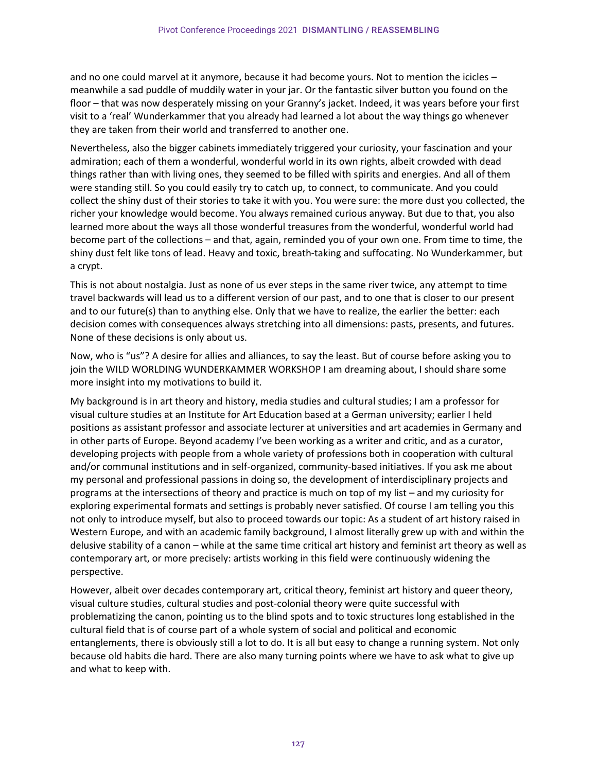and no one could marvel at it anymore, because it had become yours. Not to mention the icicles – meanwhile a sad puddle of muddily water in your jar. Or the fantastic silver button you found on the floor – that was now desperately missing on your Granny's jacket. Indeed, it was years before your first visit to a 'real' Wunderkammer that you already had learned a lot about the way things go whenever they are taken from their world and transferred to another one.

Nevertheless, also the bigger cabinets immediately triggered your curiosity, your fascination and your admiration; each of them a wonderful, wonderful world in its own rights, albeit crowded with dead things rather than with living ones, they seemed to be filled with spirits and energies. And all of them were standing still. So you could easily try to catch up, to connect, to communicate. And you could collect the shiny dust of their stories to take it with you. You were sure: the more dust you collected, the richer your knowledge would become. You always remained curious anyway. But due to that, you also learned more about the ways all those wonderful treasures from the wonderful, wonderful world had become part of the collections – and that, again, reminded you of your own one. From time to time, the shiny dust felt like tons of lead. Heavy and toxic, breath-taking and suffocating. No Wunderkammer, but a crypt.

This is not about nostalgia. Just as none of us ever steps in the same river twice, any attempt to time travel backwards will lead us to a different version of our past, and to one that is closer to our present and to our future(s) than to anything else. Only that we have to realize, the earlier the better: each decision comes with consequences always stretching into all dimensions: pasts, presents, and futures. None of these decisions is only about us.

Now, who is "us"? A desire for allies and alliances, to say the least. But of course before asking you to join the WILD WORLDING WUNDERKAMMER WORKSHOP I am dreaming about, I should share some more insight into my motivations to build it.

My background is in art theory and history, media studies and cultural studies; I am a professor for visual culture studies at an Institute for Art Education based at a German university; earlier I held positions as assistant professor and associate lecturer at universities and art academies in Germany and in other parts of Europe. Beyond academy I've been working as a writer and critic, and as a curator, developing projects with people from a whole variety of professions both in cooperation with cultural and/or communal institutions and in self-organized, community-based initiatives. If you ask me about my personal and professional passions in doing so, the development of interdisciplinary projects and programs at the intersections of theory and practice is much on top of my list – and my curiosity for exploring experimental formats and settings is probably never satisfied. Of course I am telling you this not only to introduce myself, but also to proceed towards our topic: As a student of art history raised in Western Europe, and with an academic family background, I almost literally grew up with and within the delusive stability of a canon – while at the same time critical art history and feminist art theory as well as contemporary art, or more precisely: artists working in this field were continuously widening the perspective.

However, albeit over decades contemporary art, critical theory, feminist art history and queer theory, visual culture studies, cultural studies and post-colonial theory were quite successful with problematizing the canon, pointing us to the blind spots and to toxic structures long established in the cultural field that is of course part of a whole system of social and political and economic entanglements, there is obviously still a lot to do. It is all but easy to change a running system. Not only because old habits die hard. There are also many turning points where we have to ask what to give up and what to keep with.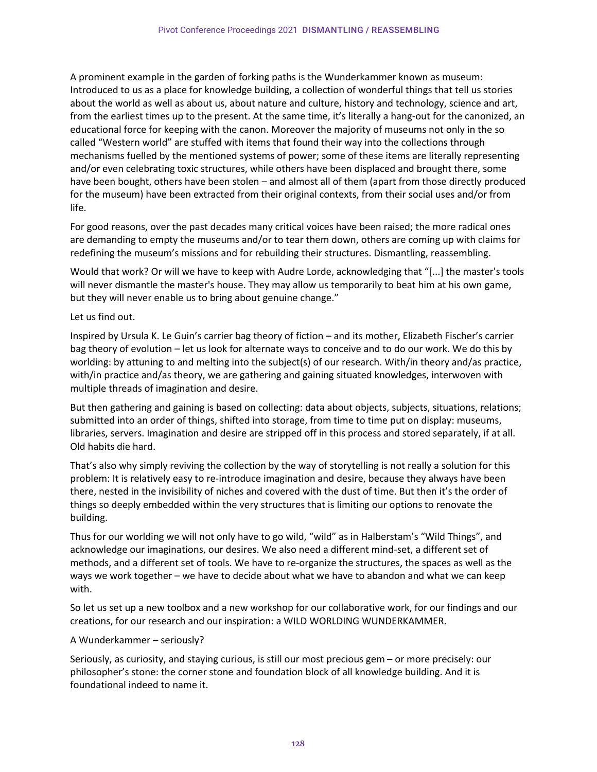A prominent example in the garden of forking paths is the Wunderkammer known as museum: Introduced to us as a place for knowledge building, a collection of wonderful things that tell us stories about the world as well as about us, about nature and culture, history and technology, science and art, from the earliest times up to the present. At the same time, it's literally a hang-out for the canonized, an educational force for keeping with the canon. Moreover the majority of museums not only in the so called "Western world" are stuffed with items that found their way into the collections through mechanisms fuelled by the mentioned systems of power; some of these items are literally representing and/or even celebrating toxic structures, while others have been displaced and brought there, some have been bought, others have been stolen – and almost all of them (apart from those directly produced for the museum) have been extracted from their original contexts, from their social uses and/or from life.

For good reasons, over the past decades many critical voices have been raised; the more radical ones are demanding to empty the museums and/or to tear them down, others are coming up with claims for redefining the museum's missions and for rebuilding their structures. Dismantling, reassembling.

Would that work? Or will we have to keep with Audre Lorde, acknowledging that "[...] the master's tools will never dismantle the master's house. They may allow us temporarily to beat him at his own game, but they will never enable us to bring about genuine change."

### Let us find out.

Inspired by Ursula K. Le Guin's carrier bag theory of fiction – and its mother, Elizabeth Fischer's carrier bag theory of evolution – let us look for alternate ways to conceive and to do our work. We do this by worlding: by attuning to and melting into the subject(s) of our research. With/in theory and/as practice, with/in practice and/as theory, we are gathering and gaining situated knowledges, interwoven with multiple threads of imagination and desire.

But then gathering and gaining is based on collecting: data about objects, subjects, situations, relations; submitted into an order of things, shifted into storage, from time to time put on display: museums, libraries, servers. Imagination and desire are stripped off in this process and stored separately, if at all. Old habits die hard.

That's also why simply reviving the collection by the way of storytelling is not really a solution for this problem: It is relatively easy to re-introduce imagination and desire, because they always have been there, nested in the invisibility of niches and covered with the dust of time. But then it's the order of things so deeply embedded within the very structures that is limiting our options to renovate the building.

Thus for our worlding we will not only have to go wild, "wild" as in Halberstam's "Wild Things", and acknowledge our imaginations, our desires. We also need a different mind-set, a different set of methods, and a different set of tools. We have to re-organize the structures, the spaces as well as the ways we work together – we have to decide about what we have to abandon and what we can keep with.

So let us set up a new toolbox and a new workshop for our collaborative work, for our findings and our creations, for our research and our inspiration: a WILD WORLDING WUNDERKAMMER.

### A Wunderkammer – seriously?

Seriously, as curiosity, and staying curious, is still our most precious gem – or more precisely: our philosopher's stone: the corner stone and foundation block of all knowledge building. And it is foundational indeed to name it.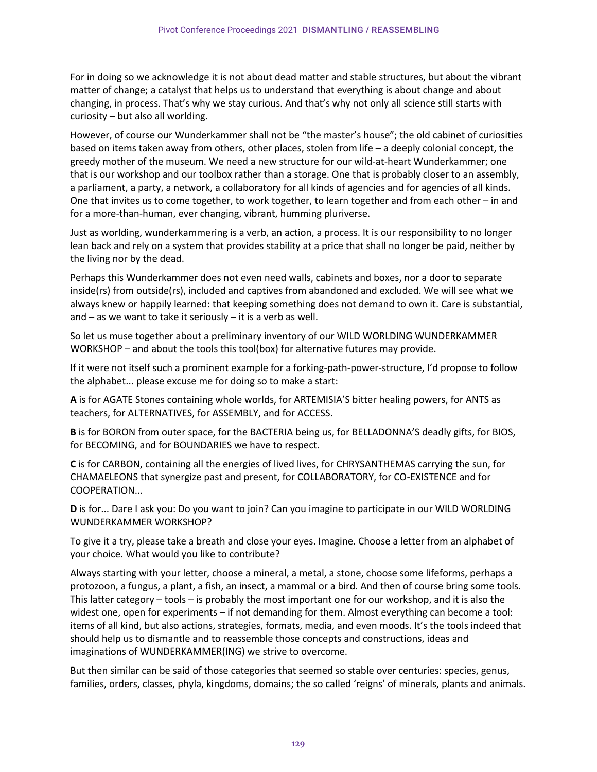For in doing so we acknowledge it is not about dead matter and stable structures, but about the vibrant matter of change; a catalyst that helps us to understand that everything is about change and about changing, in process. That's why we stay curious. And that's why not only all science still starts with curiosity – but also all worlding.

However, of course our Wunderkammer shall not be "the master's house"; the old cabinet of curiosities based on items taken away from others, other places, stolen from life – a deeply colonial concept, the greedy mother of the museum. We need a new structure for our wild-at-heart Wunderkammer; one that is our workshop and our toolbox rather than a storage. One that is probably closer to an assembly, a parliament, a party, a network, a collaboratory for all kinds of agencies and for agencies of all kinds. One that invites us to come together, to work together, to learn together and from each other – in and for a more-than-human, ever changing, vibrant, humming pluriverse.

Just as worlding, wunderkammering is a verb, an action, a process. It is our responsibility to no longer lean back and rely on a system that provides stability at a price that shall no longer be paid, neither by the living nor by the dead.

Perhaps this Wunderkammer does not even need walls, cabinets and boxes, nor a door to separate inside(rs) from outside(rs), included and captives from abandoned and excluded. We will see what we always knew or happily learned: that keeping something does not demand to own it. Care is substantial, and  $-$  as we want to take it seriously  $-$  it is a verb as well.

So let us muse together about a preliminary inventory of our WILD WORLDING WUNDERKAMMER WORKSHOP – and about the tools this tool(box) for alternative futures may provide.

If it were not itself such a prominent example for a forking-path-power-structure, I'd propose to follow the alphabet... please excuse me for doing so to make a start:

**A** is for AGATE Stones containing whole worlds, for ARTEMISIA'S bitter healing powers, for ANTS as teachers, for ALTERNATIVES, for ASSEMBLY, and for ACCESS.

**B** is for BORON from outer space, for the BACTERIA being us, for BELLADONNA'S deadly gifts, for BIOS, for BECOMING, and for BOUNDARIES we have to respect.

**C** is for CARBON, containing all the energies of lived lives, for CHRYSANTHEMAS carrying the sun, for CHAMAELEONS that synergize past and present, for COLLABORATORY, for CO-EXISTENCE and for COOPERATION...

**D** is for... Dare I ask you: Do you want to join? Can you imagine to participate in our WILD WORLDING WUNDERKAMMER WORKSHOP?

To give it a try, please take a breath and close your eyes. Imagine. Choose a letter from an alphabet of your choice. What would you like to contribute?

Always starting with your letter, choose a mineral, a metal, a stone, choose some lifeforms, perhaps a protozoon, a fungus, a plant, a fish, an insect, a mammal or a bird. And then of course bring some tools. This latter category – tools – is probably the most important one for our workshop, and it is also the widest one, open for experiments – if not demanding for them. Almost everything can become a tool: items of all kind, but also actions, strategies, formats, media, and even moods. It's the tools indeed that should help us to dismantle and to reassemble those concepts and constructions, ideas and imaginations of WUNDERKAMMER(ING) we strive to overcome.

But then similar can be said of those categories that seemed so stable over centuries: species, genus, families, orders, classes, phyla, kingdoms, domains; the so called 'reigns' of minerals, plants and animals.